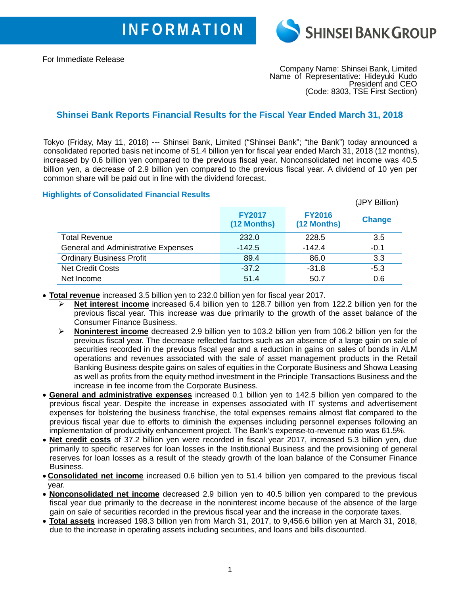

For Immediate Release

Company Name: Shinsei Bank, Limited Name of Representative: Hideyuki Kudo President and CEO (Code: 8303, TSE First Section)

## **Shinsei Bank Reports Financial Results for the Fiscal Year Ended March 31, 2018**

Tokyo (Friday, May 11, 2018) --- Shinsei Bank, Limited ("Shinsei Bank"; "the Bank") today announced a consolidated reported basis net income of 51.4 billion yen for fiscal year ended March 31, 2018 (12 months), increased by 0.6 billion yen compared to the previous fiscal year. Nonconsolidated net income was 40.5 billion yen, a decrease of 2.9 billion yen compared to the previous fiscal year. A dividend of 10 yen per common share will be paid out in line with the dividend forecast.

## **Highlights of Consolidated Financial Results**

|                                            |                              |                              | (JPY Billion) |
|--------------------------------------------|------------------------------|------------------------------|---------------|
|                                            | <b>FY2017</b><br>(12 Months) | <b>FY2016</b><br>(12 Months) | <b>Change</b> |
| <b>Total Revenue</b>                       | 232.0                        | 228.5                        | 3.5           |
| <b>General and Administrative Expenses</b> | $-142.5$                     | $-142.4$                     | $-0.1$        |
| <b>Ordinary Business Profit</b>            | 89.4                         | 86.0                         | 3.3           |
| <b>Net Credit Costs</b>                    | $-37.2$                      | $-31.8$                      | $-5.3$        |
| Net Income                                 | 51.4                         | 50.7                         | 0.6           |

• **Total revenue** increased 3.5 billion yen to 232.0 billion yen for fiscal year 2017.

- **Net interest income** increased 6.4 billion yen to 128.7 billion yen from 122.2 billion yen for the previous fiscal year. This increase was due primarily to the growth of the asset balance of the Consumer Finance Business.
- **Noninterest income** decreased 2.9 billion yen to 103.2 billion yen from 106.2 billion yen for the previous fiscal year. The decrease reflected factors such as an absence of a large gain on sale of securities recorded in the previous fiscal year and a reduction in gains on sales of bonds in ALM operations and revenues associated with the sale of asset management products in the Retail Banking Business despite gains on sales of equities in the Corporate Business and Showa Leasing as well as profits from the equity method investment in the Principle Transactions Business and the increase in fee income from the Corporate Business.
- **General and administrative expenses** increased 0.1 billion yen to 142.5 billion yen compared to the previous fiscal year. Despite the increase in expenses associated with IT systems and advertisement expenses for bolstering the business franchise, the total expenses remains almost flat compared to the previous fiscal year due to efforts to diminish the expenses including personnel expenses following an implementation of productivity enhancement project. The Bank's expense-to-revenue ratio was 61.5%.
- **Net credit costs** of 37.2 billion yen were recorded in fiscal year 2017, increased 5.3 billion yen, due primarily to specific reserves for loan losses in the Institutional Business and the provisioning of general reserves for loan losses as a result of the steady growth of the loan balance of the Consumer Finance Business.
- **Consolidated net income** increased 0.6 billion yen to 51.4 billion yen compared to the previous fiscal year.
- **Nonconsolidated net income** decreased 2.9 billion yen to 40.5 billion yen compared to the previous fiscal year due primarily to the decrease in the noninterest income because of the absence of the large gain on sale of securities recorded in the previous fiscal year and the increase in the corporate taxes.
- **Total assets** increased 198.3 billion yen from March 31, 2017, to 9,456.6 billion yen at March 31, 2018, due to the increase in operating assets including securities, and loans and bills discounted.